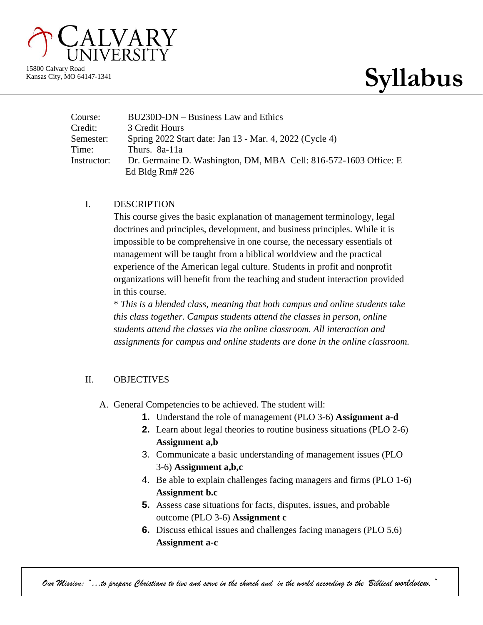

Kansas City, MO 64147-1341

# 15800 Calvary Road<br>Kansas City, MO 64147-1341

| Course:     | BU230D-DN – Business Law and Ethics                              |
|-------------|------------------------------------------------------------------|
| Credit:     | 3 Credit Hours                                                   |
| Semester:   | Spring 2022 Start date: Jan 13 - Mar. 4, 2022 (Cycle 4)          |
| Time:       | Thurs. 8a-11a                                                    |
| Instructor: | Dr. Germaine D. Washington, DM, MBA Cell: 816-572-1603 Office: E |
|             | Ed Bldg Rm# $226$                                                |

#### I. DESCRIPTION

This course gives the basic explanation of management terminology, legal doctrines and principles, development, and business principles. While it is impossible to be comprehensive in one course, the necessary essentials of management will be taught from a biblical worldview and the practical experience of the American legal culture. Students in profit and nonprofit organizations will benefit from the teaching and student interaction provided in this course.

\* *This is a blended class, meaning that both campus and online students take this class together. Campus students attend the classes in person, online students attend the classes via the online classroom. All interaction and assignments for campus and online students are done in the online classroom.*

### II. OBJECTIVES

- A. General Competencies to be achieved. The student will:
	- **1.** Understand the role of management (PLO 3-6) **Assignment a-d**
	- **2.** Learn about legal theories to routine business situations (PLO 2-6) **Assignment a,b**
	- 3. Communicate a basic understanding of management issues (PLO 3-6) **Assignment a,b,c**
	- 4. Be able to explain challenges facing managers and firms (PLO 1-6) **Assignment b.c**
	- **5.** Assess case situations for facts, disputes, issues, and probable outcome (PLO 3-6) **Assignment c**
	- **6.** Discuss ethical issues and challenges facing managers (PLO 5,6) **Assignment a-c**

*Our Mission: "…to prepare Christians to live and serve in the church and in the world according to the Biblical worldview."*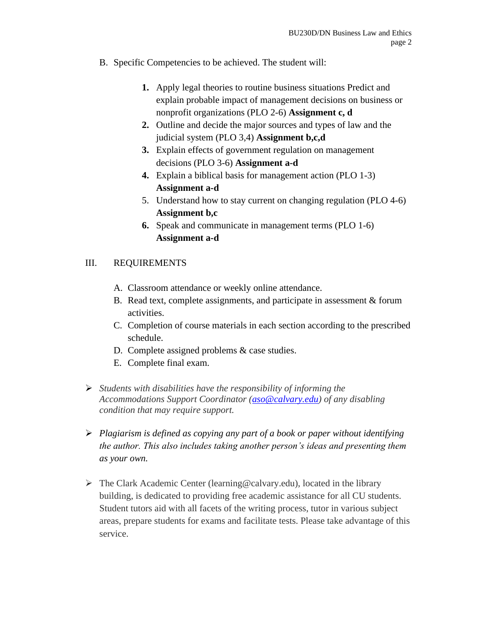- B. Specific Competencies to be achieved. The student will:
	- **1.** Apply legal theories to routine business situations Predict and explain probable impact of management decisions on business or nonprofit organizations (PLO 2-6) **Assignment c, d**
	- **2.** Outline and decide the major sources and types of law and the judicial system (PLO 3,4) **Assignment b,c,d**
	- **3.** Explain effects of government regulation on management decisions (PLO 3-6) **Assignment a-d**
	- **4.** Explain a biblical basis for management action (PLO 1-3) **Assignment a-d**
	- 5. Understand how to stay current on changing regulation (PLO 4-6) **Assignment b,c**
	- **6.** Speak and communicate in management terms (PLO 1-6) **Assignment a-d**

### III. REQUIREMENTS

- A. Classroom attendance or weekly online attendance.
- B. Read text, complete assignments, and participate in assessment & forum activities.
- C. Completion of course materials in each section according to the prescribed schedule.
- D. Complete assigned problems & case studies.
- E. Complete final exam.
- ➢ *Students with disabilities have the responsibility of informing the Accommodations Support Coordinator [\(aso@calvary.edu\)](mailto:aso@calvary.edu) of any disabling condition that may require support.*
- ➢ *Plagiarism is defined as copying any part of a book or paper without identifying the author. This also includes taking another person's ideas and presenting them as your own.*
- $\triangleright$  The Clark Academic Center (learning @calvary.edu), located in the library building, is dedicated to providing free academic assistance for all CU students. Student tutors aid with all facets of the writing process, tutor in various subject areas, prepare students for exams and facilitate tests. Please take advantage of this service.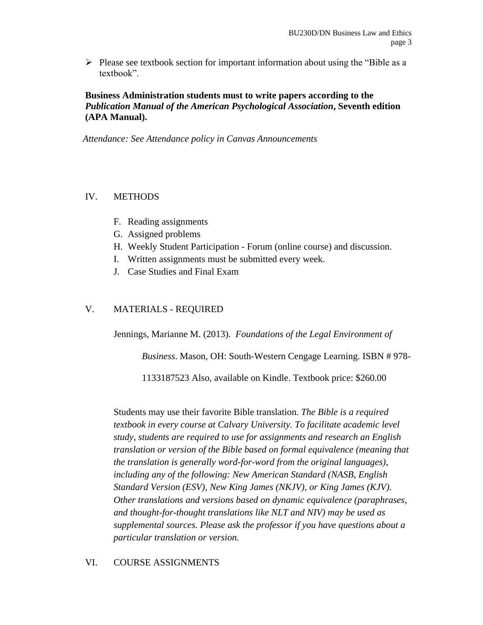$\triangleright$  Please see textbook section for important information about using the "Bible as a textbook".

#### **Business Administration students must to write papers according to the**  *Publication Manual of the American Psychological Association***, Seventh edition (APA Manual).**

 *Attendance: See Attendance policy in Canvas Announcements*

#### IV. METHODS

- F. Reading assignments
- G. Assigned problems
- H. Weekly Student Participation Forum (online course) and discussion.
- I. Written assignments must be submitted every week.
- J. Case Studies and Final Exam

#### V. MATERIALS - REQUIRED

Jennings, Marianne M. (2013). *Foundations of the Legal Environment of* 

*Business*. Mason, OH: South-Western Cengage Learning. ISBN # 978-

1133187523 Also, available on Kindle. Textbook price: \$260.00

Students may use their favorite Bible translation. *The Bible is a required textbook in every course at Calvary University. To facilitate academic level study, students are required to use for assignments and research an English translation or version of the Bible based on formal equivalence (meaning that the translation is generally word-for-word from the original languages), including any of the following: New American Standard (NASB, English Standard Version (ESV), New King James (NKJV), or King James (KJV). Other translations and versions based on dynamic equivalence (paraphrases, and thought-for-thought translations like NLT and NIV) may be used as supplemental sources. Please ask the professor if you have questions about a particular translation or version.*

#### VI. COURSE ASSIGNMENTS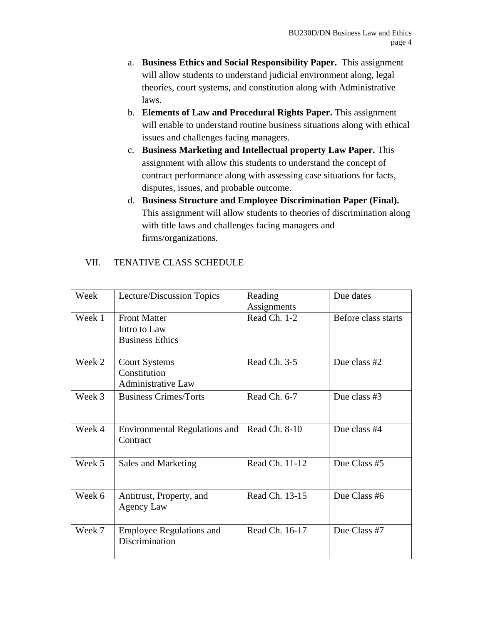- a. **Business Ethics and Social Responsibility Paper.** This assignment will allow students to understand judicial environment along, legal theories, court systems, and constitution along with Administrative laws.
- b. **Elements of Law and Procedural Rights Paper.** This assignment will enable to understand routine business situations along with ethical issues and challenges facing managers.
- c. **Business Marketing and Intellectual property Law Paper.** This assignment with allow this students to understand the concept of contract performance along with assessing case situations for facts, disputes, issues, and probable outcome.
- d. **Business Structure and Employee Discrimination Paper (Final).**  This assignment will allow students to theories of discrimination along with title laws and challenges facing managers and firms/organizations.

| Week   | Lecture/Discussion Topics                                         | Reading<br>Assignments | Due dates           |
|--------|-------------------------------------------------------------------|------------------------|---------------------|
| Week 1 | <b>Front Matter</b><br>Intro to Law<br><b>Business Ethics</b>     | Read Ch. 1-2           | Before class starts |
| Week 2 | <b>Court Systems</b><br>Constitution<br><b>Administrative Law</b> | Read Ch. 3-5           | Due class #2        |
| Week 3 | <b>Business Crimes/Torts</b>                                      | Read Ch. 6-7           | Due class #3        |
| Week 4 | <b>Environmental Regulations and</b><br>Contract                  | Read Ch. 8-10          | Due class #4        |
| Week 5 | Sales and Marketing                                               | Read Ch. 11-12         | Due Class #5        |
| Week 6 | Antitrust, Property, and<br>Agency Law                            | Read Ch. 13-15         | Due Class #6        |
| Week 7 | <b>Employee Regulations and</b><br>Discrimination                 | Read Ch. 16-17         | Due Class #7        |

#### VII. TENATIVE CLASS SCHEDULE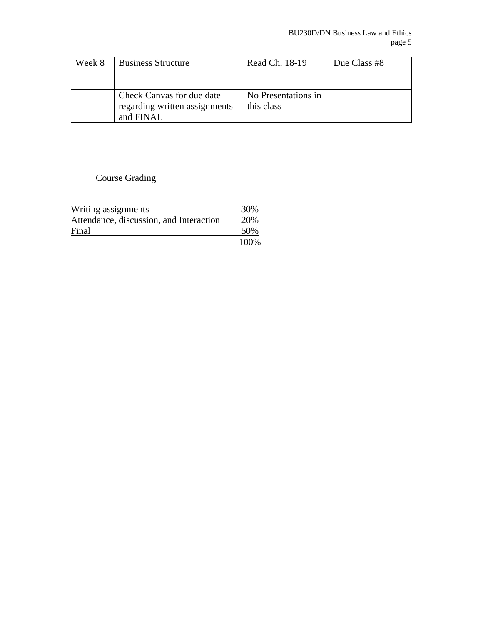| Week 8 | <b>Business Structure</b>                                  | Read Ch. 18-19                    | Due Class #8 |
|--------|------------------------------------------------------------|-----------------------------------|--------------|
|        |                                                            |                                   |              |
|        | Check Canvas for due date<br>regarding written assignments | No Presentations in<br>this class |              |
|        | and FINAL                                                  |                                   |              |

## Course Grading

| Writing assignments                     | 30%  |
|-----------------------------------------|------|
| Attendance, discussion, and Interaction | 20%  |
| Final                                   | 50%  |
|                                         | 100% |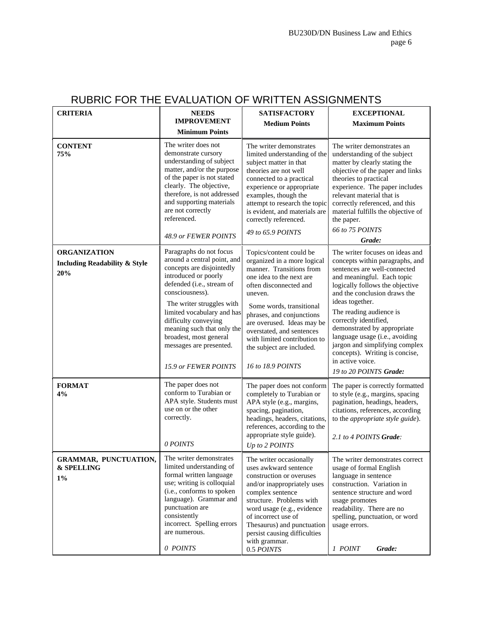| <b>CRITERIA</b>                                                        | <b>NEEDS</b>                                                                                                                                                                                                                                                                                                                   | <b>SATISFACTORY</b>                                                                                                                                                                                                                                                                                                                                       | <b>EXCEPTIONAL</b>                                                                                                                                                                                                                                                                                                                                                                                                                                            |
|------------------------------------------------------------------------|--------------------------------------------------------------------------------------------------------------------------------------------------------------------------------------------------------------------------------------------------------------------------------------------------------------------------------|-----------------------------------------------------------------------------------------------------------------------------------------------------------------------------------------------------------------------------------------------------------------------------------------------------------------------------------------------------------|---------------------------------------------------------------------------------------------------------------------------------------------------------------------------------------------------------------------------------------------------------------------------------------------------------------------------------------------------------------------------------------------------------------------------------------------------------------|
|                                                                        | <b>IMPROVEMENT</b>                                                                                                                                                                                                                                                                                                             | <b>Medium Points</b>                                                                                                                                                                                                                                                                                                                                      | <b>Maximum Points</b>                                                                                                                                                                                                                                                                                                                                                                                                                                         |
|                                                                        | <b>Minimum Points</b>                                                                                                                                                                                                                                                                                                          |                                                                                                                                                                                                                                                                                                                                                           |                                                                                                                                                                                                                                                                                                                                                                                                                                                               |
| <b>CONTENT</b><br>75%                                                  | The writer does not<br>demonstrate cursory<br>understanding of subject<br>matter, and/or the purpose<br>of the paper is not stated<br>clearly. The objective,<br>therefore, is not addressed<br>and supporting materials<br>are not correctly<br>referenced.<br>48.9 or FEWER POINTS                                           | The writer demonstrates<br>limited understanding of the<br>subject matter in that<br>theories are not well<br>connected to a practical<br>experience or appropriate<br>examples, though the<br>attempt to research the topic<br>is evident, and materials are<br>correctly referenced.<br>49 to 65.9 POINTS                                               | The writer demonstrates an<br>understanding of the subject<br>matter by clearly stating the<br>objective of the paper and links<br>theories to practical<br>experience. The paper includes<br>relevant material that is<br>correctly referenced, and this<br>material fulfills the objective of<br>the paper.<br>66 to 75 POINTS<br>Grade:                                                                                                                    |
|                                                                        | Paragraphs do not focus                                                                                                                                                                                                                                                                                                        |                                                                                                                                                                                                                                                                                                                                                           |                                                                                                                                                                                                                                                                                                                                                                                                                                                               |
| <b>ORGANIZATION</b><br><b>Including Readability &amp; Style</b><br>20% | around a central point, and<br>concepts are disjointedly<br>introduced or poorly<br>defended (i.e., stream of<br>consciousness).<br>The writer struggles with<br>limited vocabulary and has<br>difficulty conveying<br>meaning such that only the<br>broadest, most general<br>messages are presented.<br>15.9 or FEWER POINTS | Topics/content could be<br>organized in a more logical<br>manner. Transitions from<br>one idea to the next are<br>often disconnected and<br>uneven.<br>Some words, transitional<br>phrases, and conjunctions<br>are overused. Ideas may be<br>overstated, and sentences<br>with limited contribution to<br>the subject are included.<br>16 to 18.9 POINTS | The writer focuses on ideas and<br>concepts within paragraphs, and<br>sentences are well-connected<br>and meaningful. Each topic<br>logically follows the objective<br>and the conclusion draws the<br>ideas together.<br>The reading audience is<br>correctly identified,<br>demonstrated by appropriate<br>language usage (i.e., avoiding<br>jargon and simplifying complex<br>concepts). Writing is concise,<br>in active voice.<br>19 to 20 POINTS Grade: |
| <b>FORMAT</b><br>4%                                                    | The paper does not<br>conform to Turabian or<br>APA style. Students must<br>use on or the other<br>correctly.<br>0 POINTS                                                                                                                                                                                                      | The paper does not conform<br>completely to Turabian or<br>APA style (e.g., margins,<br>spacing, pagination,<br>headings, headers, citations,<br>references, according to the<br>appropriate style guide).<br>Up to 2 POINTS                                                                                                                              | The paper is correctly formatted<br>to style (e.g., margins, spacing<br>pagination, headings, headers,<br>citations, references, according<br>to the <i>appropriate</i> style guide).<br>2.1 to 4 POINTS Grade:                                                                                                                                                                                                                                               |
| GRAMMAR, PUNCTUATION,<br><b>&amp; SPELLING</b><br>$1\%$                | The writer demonstrates<br>limited understanding of<br>formal written language<br>use; writing is colloquial<br>(i.e., conforms to spoken<br>language). Grammar and<br>punctuation are<br>consistently<br>incorrect. Spelling errors<br>are numerous.<br>0 POINTS                                                              | The writer occasionally<br>uses awkward sentence<br>construction or overuses<br>and/or inappropriately uses<br>complex sentence<br>structure. Problems with<br>word usage (e.g., evidence<br>of incorrect use of<br>Thesaurus) and punctuation<br>persist causing difficulties<br>with grammar.<br>0.5 POINTS                                             | The writer demonstrates correct<br>usage of formal English<br>language in sentence<br>construction. Variation in<br>sentence structure and word<br>usage promotes<br>readability. There are no<br>spelling, punctuation, or word<br>usage errors.<br>1 POINT<br>Grade:                                                                                                                                                                                        |

# RUBRIC FOR THE EVALUATION OF WRITTEN ASSIGNMENTS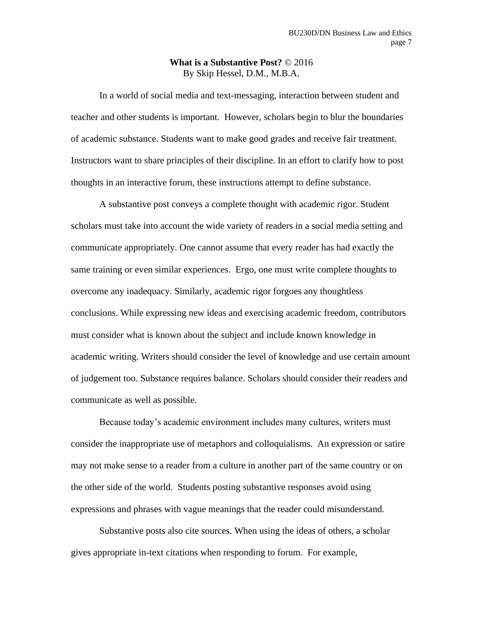#### **What is a Substantive Post?** © 2016 By Skip Hessel, D.M., M.B.A.

In a world of social media and text-messaging, interaction between student and teacher and other students is important. However, scholars begin to blur the boundaries of academic substance. Students want to make good grades and receive fair treatment. Instructors want to share principles of their discipline. In an effort to clarify how to post thoughts in an interactive forum, these instructions attempt to define substance.

A substantive post conveys a complete thought with academic rigor. Student scholars must take into account the wide variety of readers in a social media setting and communicate appropriately. One cannot assume that every reader has had exactly the same training or even similar experiences. Ergo, one must write complete thoughts to overcome any inadequacy. Similarly, academic rigor forgoes any thoughtless conclusions. While expressing new ideas and exercising academic freedom, contributors must consider what is known about the subject and include known knowledge in academic writing. Writers should consider the level of knowledge and use certain amount of judgement too. Substance requires balance. Scholars should consider their readers and communicate as well as possible.

Because today's academic environment includes many cultures, writers must consider the inappropriate use of metaphors and colloquialisms. An expression or satire may not make sense to a reader from a culture in another part of the same country or on the other side of the world. Students posting substantive responses avoid using expressions and phrases with vague meanings that the reader could misunderstand.

Substantive posts also cite sources. When using the ideas of others, a scholar gives appropriate in-text citations when responding to forum. For example,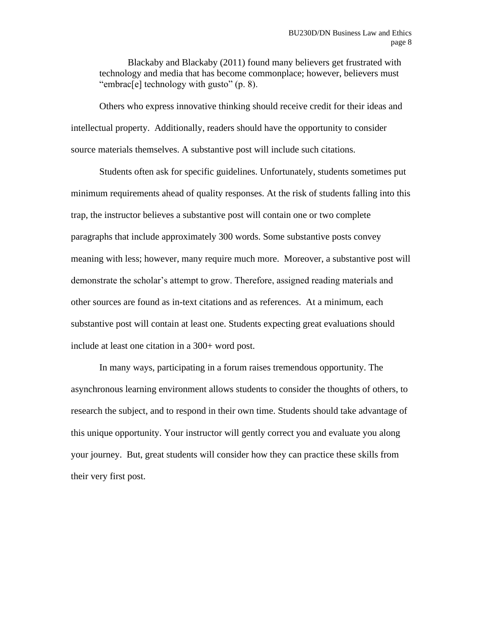Blackaby and Blackaby (2011) found many believers get frustrated with technology and media that has become commonplace; however, believers must "embrac[e] technology with gusto" (p. 8).

Others who express innovative thinking should receive credit for their ideas and intellectual property. Additionally, readers should have the opportunity to consider source materials themselves. A substantive post will include such citations.

Students often ask for specific guidelines. Unfortunately, students sometimes put minimum requirements ahead of quality responses. At the risk of students falling into this trap, the instructor believes a substantive post will contain one or two complete paragraphs that include approximately 300 words. Some substantive posts convey meaning with less; however, many require much more. Moreover, a substantive post will demonstrate the scholar's attempt to grow. Therefore, assigned reading materials and other sources are found as in-text citations and as references. At a minimum, each substantive post will contain at least one. Students expecting great evaluations should include at least one citation in a 300+ word post.

In many ways, participating in a forum raises tremendous opportunity. The asynchronous learning environment allows students to consider the thoughts of others, to research the subject, and to respond in their own time. Students should take advantage of this unique opportunity. Your instructor will gently correct you and evaluate you along your journey. But, great students will consider how they can practice these skills from their very first post.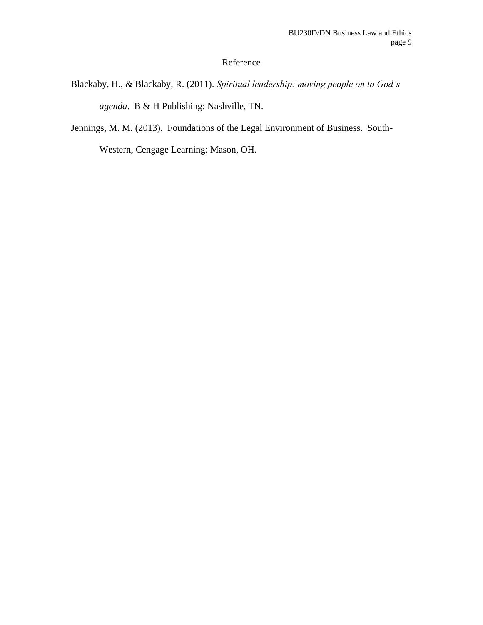## Reference

- Blackaby, H., & Blackaby, R. (2011). *Spiritual leadership: moving people on to God's agenda*. B & H Publishing: Nashville, TN.
- Jennings, M. M. (2013). Foundations of the Legal Environment of Business. South-

Western, Cengage Learning: Mason, OH.